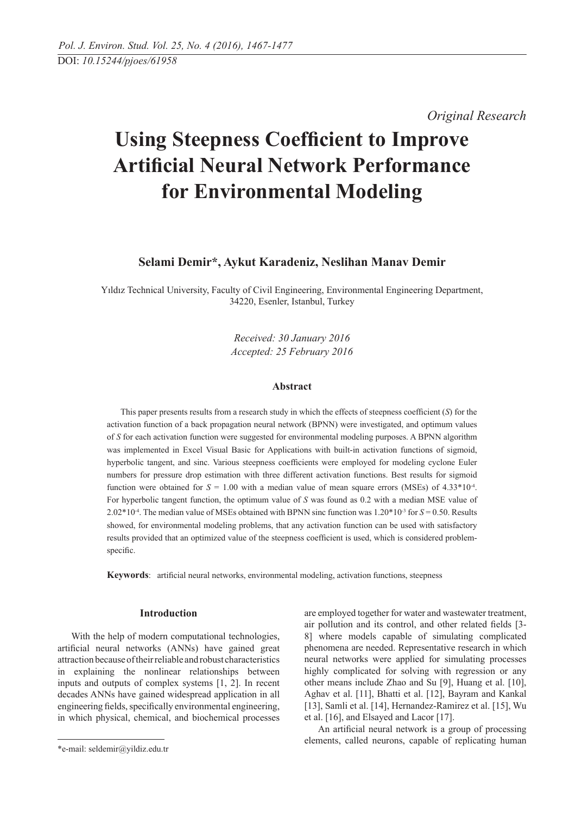*Original Research* 

# **Using Steepness Coefficient to Improve Artificial Neural Network Performance for Environmental Modeling**

## **Selami Demir\*, Aykut Karadeniz, Neslihan Manav Demir**

Yıldız Technical University, Faculty of Civil Engineering, Environmental Engineering Department, 34220, Esenler, Istanbul, Turkey

> *Received: 30 January 2016 Accepted: 25 February 2016*

### **Abstract**

This paper presents results from a research study in which the effects of steepness coefficient (*S*) for the activation function of a back propagation neural network (BPNN) were investigated, and optimum values of *S* for each activation function were suggested for environmental modeling purposes. A BPNN algorithm was implemented in Excel Visual Basic for Applications with built-in activation functions of sigmoid, hyperbolic tangent, and sinc. Various steepness coefficients were employed for modeling cyclone Euler numbers for pressure drop estimation with three different activation functions. Best results for sigmoid function were obtained for  $S = 1.00$  with a median value of mean square errors (MSEs) of  $4.33*10<sup>-4</sup>$ . For hyperbolic tangent function, the optimum value of *S* was found as 0.2 with a median MSE value of 2.02\*10-4. The median value of MSEs obtained with BPNN sinc function was 1.20\*10-3 for *S* = 0.50. Results showed, for environmental modeling problems, that any activation function can be used with satisfactory results provided that an optimized value of the steepness coefficient is used, which is considered problemspecific.

**Keywords**: artificial neural networks, environmental modeling, activation functions, steepness

## **Introduction**

With the help of modern computational technologies, artificial neural networks (ANNs) have gained great attraction because of their reliable and robust characteristics in explaining the nonlinear relationships between inputs and outputs of complex systems [1, 2]. In recent decades ANNs have gained widespread application in all engineering fields, specifically environmental engineering, in which physical, chemical, and biochemical processes are employed together for water and wastewater treatment, air pollution and its control, and other related fields [3- 8] where models capable of simulating complicated phenomena are needed. Representative research in which neural networks were applied for simulating processes highly complicated for solving with regression or any other means include Zhao and Su [9], Huang et al. [10], Aghav et al. [11], Bhatti et al. [12], Bayram and Kankal [13], Samli et al. [14], Hernandez-Ramirez et al. [15], Wu et al. [16], and Elsayed and Lacor [17].

An artificial neural network is a group of processing elements, called neurons, capable of replicating human

<sup>\*</sup>e-mail: seldemir@yildiz.edu.tr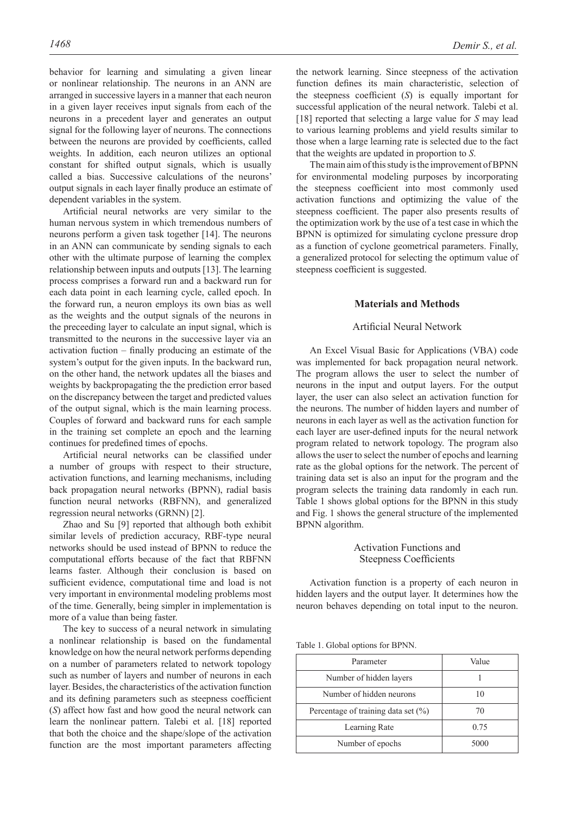behavior for learning and simulating a given linear or nonlinear relationship. The neurons in an ANN are arranged in successive layers in a manner that each neuron in a given layer receives input signals from each of the neurons in a precedent layer and generates an output signal for the following layer of neurons. The connections between the neurons are provided by coefficients, called weights. In addition, each neuron utilizes an optional constant for shifted output signals, which is usually called a bias. Successive calculations of the neurons' output signals in each layer finally produce an estimate of dependent variables in the system.

Artificial neural networks are very similar to the human nervous system in which tremendous numbers of neurons perform a given task together [14]. The neurons in an ANN can communicate by sending signals to each other with the ultimate purpose of learning the complex relationship between inputs and outputs [13]. The learning process comprises a forward run and a backward run for each data point in each learning cycle, called epoch. In the forward run, a neuron employs its own bias as well as the weights and the output signals of the neurons in the preceeding layer to calculate an input signal, which is transmitted to the neurons in the successive layer via an activation fuction – finally producing an estimate of the system's output for the given inputs. In the backward run, on the other hand, the network updates all the biases and weights by backpropagating the the prediction error based on the discrepancy between the target and predicted values of the output signal, which is the main learning process. Couples of forward and backward runs for each sample in the training set complete an epoch and the learning continues for predefined times of epochs.

Artificial neural networks can be classified under a number of groups with respect to their structure, activation functions, and learning mechanisms, including back propagation neural networks (BPNN), radial basis function neural networks (RBFNN), and generalized regression neural networks (GRNN) [2].

Zhao and Su [9] reported that although both exhibit similar levels of prediction accuracy, RBF-type neural networks should be used instead of BPNN to reduce the computational efforts because of the fact that RBFNN learns faster. Although their conclusion is based on sufficient evidence, computational time and load is not very important in environmental modeling problems most of the time. Generally, being simpler in implementation is more of a value than being faster.

The key to success of a neural network in simulating a nonlinear relationship is based on the fundamental knowledge on how the neural network performs depending on a number of parameters related to network topology such as number of layers and number of neurons in each layer. Besides, the characteristics of the activation function and its defining parameters such as steepness coefficient (*S*) affect how fast and how good the neural network can learn the nonlinear pattern. Talebi et al. [18] reported that both the choice and the shape/slope of the activation function are the most important parameters affecting

the network learning. Since steepness of the activation function defines its main characteristic, selection of the steepness coefficient (*S*) is equally important for successful application of the neural network. Talebi et al. [18] reported that selecting a large value for *S* may lead to various learning problems and yield results similar to those when a large learning rate is selected due to the fact that the weights are updated in proportion to *S*.

The main aim of this study is the improvement of BPNN for environmental modeling purposes by incorporating the steepness coefficient into most commonly used activation functions and optimizing the value of the steepness coefficient. The paper also presents results of the optimization work by the use of a test case in which the BPNN is optimized for simulating cyclone pressure drop as a function of cyclone geometrical parameters. Finally, a generalized protocol for selecting the optimum value of steepness coefficient is suggested.

#### **Materials and Methods**

#### Artificial Neural Network

An Excel Visual Basic for Applications (VBA) code was implemented for back propagation neural network. The program allows the user to select the number of neurons in the input and output layers. For the output layer, the user can also select an activation function for the neurons. The number of hidden layers and number of neurons in each layer as well as the activation function for each layer are user-defined inputs for the neural network program related to network topology. The program also allows the user to select the number of epochs and learning rate as the global options for the network. The percent of training data set is also an input for the program and the program selects the training data randomly in each run. Table 1 shows global options for the BPNN in this study and Fig. 1 shows the general structure of the implemented BPNN algorithm.

## Activation Functions and Steepness Coefficients

Activation function is a property of each neuron in hidden layers and the output layer. It determines how the neuron behaves depending on total input to the neuron.

Table 1. Global options for BPNN.

| Parameter                               | Value |
|-----------------------------------------|-------|
| Number of hidden layers                 |       |
| Number of hidden neurons                | 10    |
| Percentage of training data set $(\% )$ | 70    |
| Learning Rate                           | 0.75  |
| Number of epochs                        | 5000  |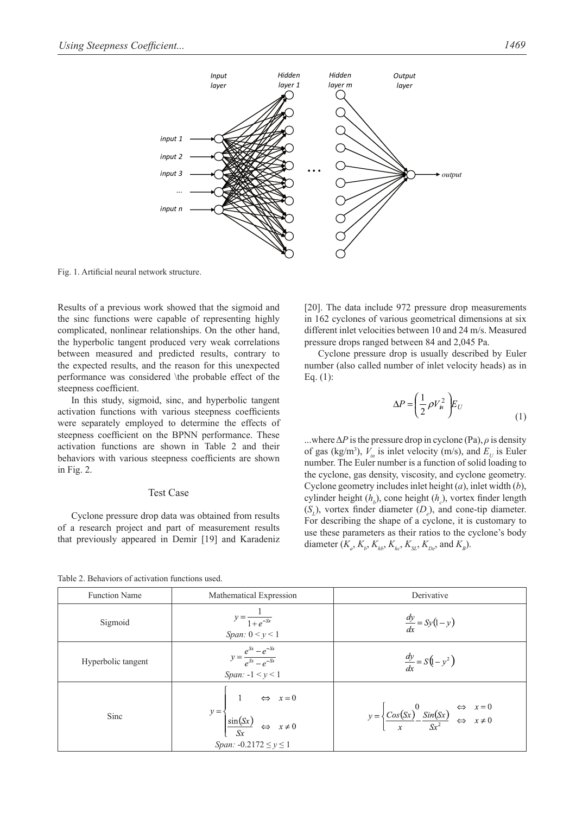

Fig. 1. Artificial neural network structure.

Results of a previous work showed that the sigmoid and the sinc functions were capable of representing highly complicated, nonlinear relationships. On the other hand, the hyperbolic tangent produced very weak correlations between measured and predicted results, contrary to the expected results, and the reason for this unexpected performance was considered \the probable effect of the steepness coefficient.

In this study, sigmoid, sinc, and hyperbolic tangent activation functions with various steepness coefficients were separately employed to determine the effects of steepness coefficient on the BPNN performance. These activation functions are shown in Table 2 and their behaviors with various steepness coefficients are shown in Fig. 2.

## Test Case

Cyclone pressure drop data was obtained from results of a research project and part of measurement results that previously appeared in Demir [19] and Karadeniz [20]. The data include 972 pressure drop measurements in 162 cyclones of various geometrical dimensions at six different inlet velocities between 10 and 24 m/s. Measured pressure drops ranged between 84 and 2,045 Pa.

Cyclone pressure drop is usually described by Euler number (also called number of inlet velocity heads) as in Eq. (1):

$$
\Delta P = \left(\frac{1}{2}\rho V_n^2\right) E_U
$$
 (1)

...where  $\Delta P$  is the pressure drop in cyclone (Pa),  $\rho$  is density of gas (kg/m<sup>3</sup>),  $V_{in}$  is inlet velocity (m/s), and  $E_U$  is Euler number. The Euler number is a function of solid loading to the cyclone, gas density, viscosity, and cyclone geometry. Cyclone geometry includes inlet height (*a*), inlet width (*b*), cylinder height (*h<sub>b</sub>*), cone height (*h<sub>c</sub>*), vortex finder length  $(S_L)$ , vortex finder diameter  $(D_e)$ , and cone-tip diameter. For describing the shape of a cyclone, it is customary to use these parameters as their ratios to the cyclone's body diameter ( $K_a$ ,  $K_b$ ,  $K_{hb}$ ,  $K_{hc}$ ,  $K_{SL}$ ,  $K_{De}$ , and  $K_B$ ).

Table 2. Behaviors of activation functions used.

| <b>Function Name</b> | Mathematical Expression                                                                                                                                     | Derivative                                                                                                                                   |
|----------------------|-------------------------------------------------------------------------------------------------------------------------------------------------------------|----------------------------------------------------------------------------------------------------------------------------------------------|
| Sigmoid              | $y = \frac{1}{1 + e^{-sx}}$<br>Span: $0 < y < 1$                                                                                                            | $\frac{dy}{dx} = Sy(1-y)$                                                                                                                    |
| Hyperbolic tangent   | $y = \frac{e^{sx} - e^{-sx}}{e^{sx} - e^{-sx}}$<br>Span: $-1 < y < 1$                                                                                       | $\frac{dy}{dx} = S(1 - y^2)$                                                                                                                 |
| Sinc                 | $y = \begin{cases} 1 & \Leftrightarrow x = 0 \\ \frac{\sin(Sx)}{S_x} & \Leftrightarrow x \neq 0 \end{cases}$<br>$S_x$<br><i>Span:</i> $-0.2172 \le y \le 1$ | $y = \begin{cases} \frac{cos(Sx)}{x} & \text{sin}(Sx) \\ \frac{cos(Sx)}{x} & \text{sin}(Sx) \\ \frac{cos^2}{x} & \text{sin}(Sx) \end{cases}$ |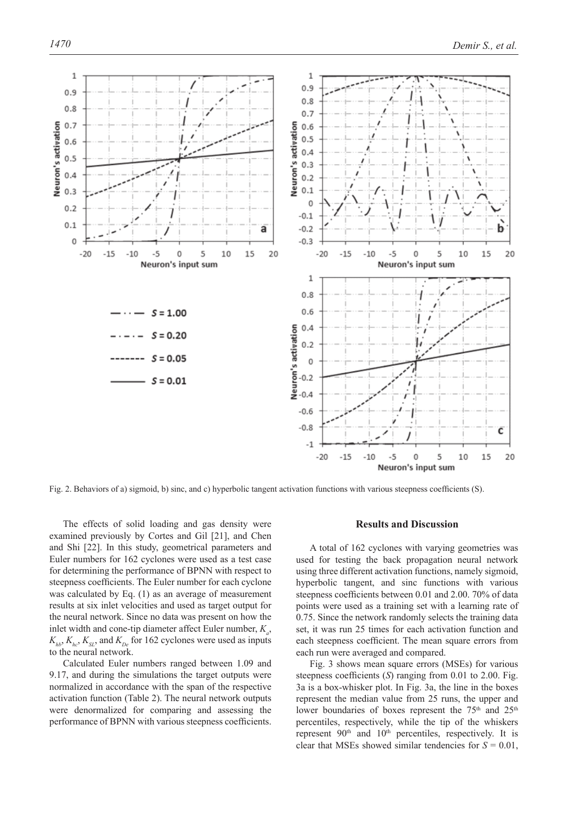

Fig. 2. Behaviors of a) sigmoid, b) sinc, and c) hyperbolic tangent activation functions with various steepness coefficients (S).

The effects of solid loading and gas density were examined previously by Cortes and Gil [21], and Chen and Shi [22]. In this study, geometrical parameters and Euler numbers for 162 cyclones were used as a test case for determining the performance of BPNN with respect to steepness coefficients. The Euler number for each cyclone was calculated by Eq. (1) as an average of measurement results at six inlet velocities and used as target output for the neural network. Since no data was present on how the inlet width and cone-tip diameter affect Euler number,  $K_a$ ,  $K_{ab}$ ,  $K_{bc}$ ,  $K_{SI}$ , and  $K_{De}$  for 162 cyclones were used as inputs to the neural network.

Calculated Euler numbers ranged between 1.09 and 9.17, and during the simulations the target outputs were normalized in accordance with the span of the respective activation function (Table 2). The neural network outputs were denormalized for comparing and assessing the performance of BPNN with various steepness coefficients.

## **Results and Discussion**

A total of 162 cyclones with varying geometries was used for testing the back propagation neural network using three different activation functions, namely sigmoid, hyperbolic tangent, and sinc functions with various steepness coefficients between 0.01 and 2.00. 70% of data points were used as a training set with a learning rate of 0.75. Since the network randomly selects the training data set, it was run 25 times for each activation function and each steepness coefficient. The mean square errors from each run were averaged and compared.

Fig. 3 shows mean square errors (MSEs) for various steepness coefficients (*S*) ranging from 0.01 to 2.00. Fig. 3a is a box-whisker plot. In Fig. 3a, the line in the boxes represent the median value from 25 runs, the upper and lower boundaries of boxes represent the 75<sup>th</sup> and 25<sup>th</sup> percentiles, respectively, while the tip of the whiskers represent 90<sup>th</sup> and 10<sup>th</sup> percentiles, respectively. It is clear that MSEs showed similar tendencies for  $S = 0.01$ ,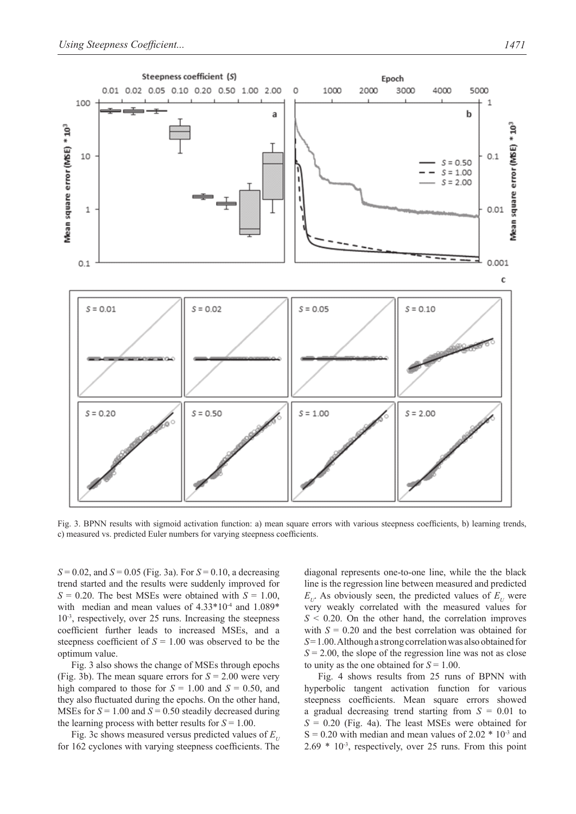

Fig. 3. BPNN results with sigmoid activation function: a) mean square errors with various steepness coefficients, b) learning trends, c) measured vs. predicted Euler numbers for varying steepness coefficients.

 $S = 0.02$ , and  $S = 0.05$  (Fig. 3a). For  $S = 0.10$ , a decreasing trend started and the results were suddenly improved for  $S = 0.20$ . The best MSEs were obtained with  $S = 1.00$ , with median and mean values of  $4.33*10<sup>-4</sup>$  and  $1.089*$  $10<sup>3</sup>$ , respectively, over 25 runs. Increasing the steepness coefficient further leads to increased MSEs, and a steepness coefficient of  $S = 1.00$  was observed to be the optimum value.

Fig. 3 also shows the change of MSEs through epochs (Fig. 3b). The mean square errors for *S* = 2.00 were very high compared to those for  $S = 1.00$  and  $S = 0.50$ , and they also fluctuated during the epochs. On the other hand, MSEs for  $S = 1.00$  and  $S = 0.50$  steadily decreased during the learning process with better results for  $S = 1.00$ .

Fig. 3c shows measured versus predicted values of  $E_{\mu}$ for 162 cyclones with varying steepness coefficients. The diagonal represents one-to-one line, while the the black line is the regression line between measured and predicted  $E_{U}$ . As obviously seen, the predicted values of  $E_{U}$  were very weakly correlated with the measured values for  $S < 0.20$ . On the other hand, the correlation improves with  $S = 0.20$  and the best correlation was obtained for *S* = 1.00. Although a strong correlation was also obtained for  $S = 2.00$ , the slope of the regression line was not as close to unity as the one obtained for *S* = 1.00.

Fig. 4 shows results from 25 runs of BPNN with hyperbolic tangent activation function for various steepness coefficients. Mean square errors showed a gradual decreasing trend starting from *S* = 0.01 to  $S = 0.20$  (Fig. 4a). The least MSEs were obtained for  $S = 0.20$  with median and mean values of 2.02  $*$  10<sup>-3</sup> and  $2.69 * 10^{-3}$ , respectively, over 25 runs. From this point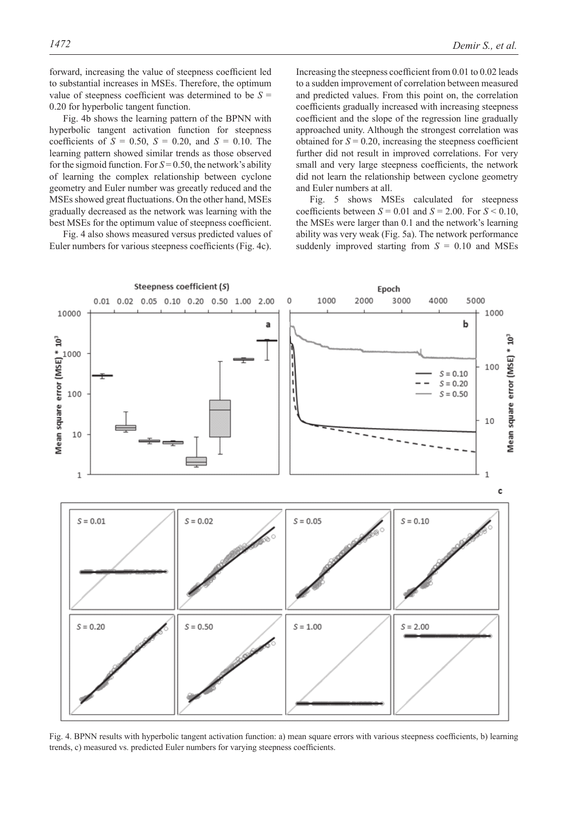forward, increasing the value of steepness coefficient led to substantial increases in MSEs. Therefore, the optimum value of steepness coefficient was determined to be  $S =$ 0.20 for hyperbolic tangent function.

Fig. 4b shows the learning pattern of the BPNN with hyperbolic tangent activation function for steepness coefficients of  $S = 0.50$ ,  $S = 0.20$ , and  $S = 0.10$ . The learning pattern showed similar trends as those observed for the sigmoid function. For  $S = 0.50$ , the network's ability of learning the complex relationship between cyclone geometry and Euler number was greeatly reduced and the MSEs showed great fluctuations. On the other hand, MSEs gradually decreased as the network was learning with the best MSEs for the optimum value of steepness coefficient.

Fig. 4 also shows measured versus predicted values of Euler numbers for various steepness coefficients (Fig. 4c).

Increasing the steepness coefficient from 0.01 to 0.02 leads to a sudden improvement of correlation between measured and predicted values. From this point on, the correlation coefficients gradually increased with increasing steepness coefficient and the slope of the regression line gradually approached unity. Although the strongest correlation was obtained for  $S = 0.20$ , increasing the steepness coefficient further did not result in improved correlations. For very small and very large steepness coefficients, the network did not learn the relationship between cyclone geometry and Euler numbers at all.

Fig. 5 shows MSEs calculated for steepness coefficients between  $S = 0.01$  and  $S = 2.00$ . For  $S \le 0.10$ , the MSEs were larger than 0.1 and the network's learning ability was very weak (Fig. 5a). The network performance suddenly improved starting from *S* = 0.10 and MSEs



Fig. 4. BPNN results with hyperbolic tangent activation function: a) mean square errors with various steepness coefficients, b) learning trends, c) measured vs. predicted Euler numbers for varying steepness coefficients.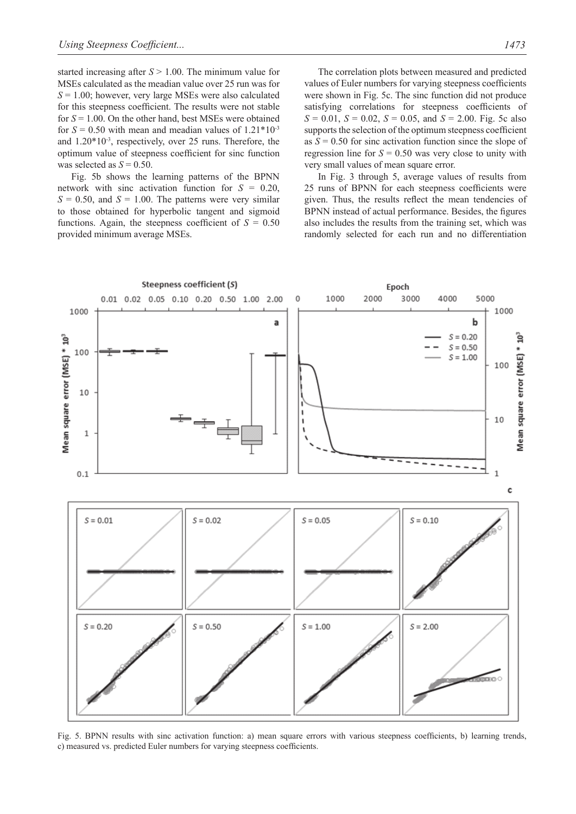started increasing after *S* > 1.00. The minimum value for MSEs calculated as the meadian value over 25 run was for *S* = 1.00; however, very large MSEs were also calculated for this steepness coefficient. The results were not stable for *S* = 1.00. On the other hand, best MSEs were obtained for  $S = 0.50$  with mean and meadian values of  $1.21*10^{-3}$ and 1.20\*10-3, respectively, over 25 runs. Therefore, the optimum value of steepness coefficient for sinc function was selected as  $S = 0.50$ .

Fig. 5b shows the learning patterns of the BPNN network with sinc activation function for *S* = 0.20,  $S = 0.50$ , and  $S = 1.00$ . The patterns were very similar to those obtained for hyperbolic tangent and sigmoid functions. Again, the steepness coefficient of  $S = 0.50$ provided minimum average MSEs.

The correlation plots between measured and predicted values of Euler numbers for varying steepness coefficients were shown in Fig. 5c. The sinc function did not produce satisfying correlations for steepness coefficients of *S* = 0.01, *S* = 0.02, *S* = 0.05, and *S* = 2.00. Fig. 5c also supports the selection of the optimum steepness coefficient as  $S = 0.50$  for sinc activation function since the slope of regression line for  $S = 0.50$  was very close to unity with very small values of mean square error.

In Fig. 3 through 5, average values of results from 25 runs of BPNN for each steepness coefficients were given. Thus, the results reflect the mean tendencies of BPNN instead of actual performance. Besides, the figures also includes the results from the training set, which was randomly selected for each run and no differentiation



Fig. 5. BPNN results with sinc activation function: a) mean square errors with various steepness coefficients, b) learning trends, c) measured vs. predicted Euler numbers for varying steepness coefficients.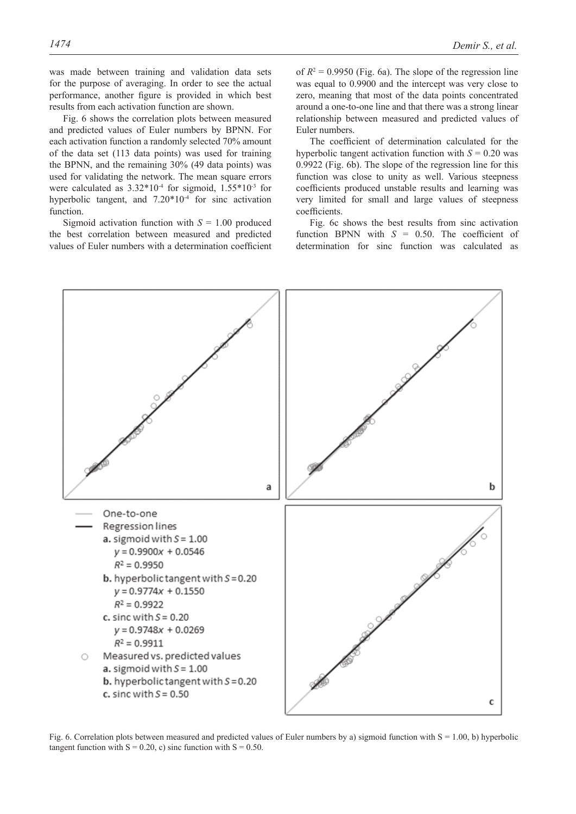was made between training and validation data sets for the purpose of averaging. In order to see the actual performance, another figure is provided in which best results from each activation function are shown.

Fig. 6 shows the correlation plots between measured and predicted values of Euler numbers by BPNN. For each activation function a randomly selected 70% amount of the data set (113 data points) was used for training the BPNN, and the remaining 30% (49 data points) was used for validating the network. The mean square errors were calculated as  $3.32*10<sup>-4</sup>$  for sigmoid,  $1.55*10<sup>-3</sup>$  for hyperbolic tangent, and  $7.20*10<sup>-4</sup>$  for sinc activation function.

Sigmoid activation function with  $S = 1.00$  produced the best correlation between measured and predicted values of Euler numbers with a determination coefficient

of  $R^2 = 0.9950$  (Fig. 6a). The slope of the regression line was equal to 0.9900 and the intercept was very close to zero, meaning that most of the data points concentrated around a one-to-one line and that there was a strong linear relationship between measured and predicted values of Euler numbers.

The coefficient of determination calculated for the hyperbolic tangent activation function with  $S = 0.20$  was 0.9922 (Fig. 6b). The slope of the regression line for this function was close to unity as well. Various steepness coefficients produced unstable results and learning was very limited for small and large values of steepness coefficients.

Fig. 6c shows the best results from sinc activation function BPNN with *S* = 0.50. The coefficient of determination for sinc function was calculated as



Fig. 6. Correlation plots between measured and predicted values of Euler numbers by a) sigmoid function with  $S = 1.00$ , b) hyperbolic tangent function with  $S = 0.20$ , c) sinc function with  $S = 0.50$ .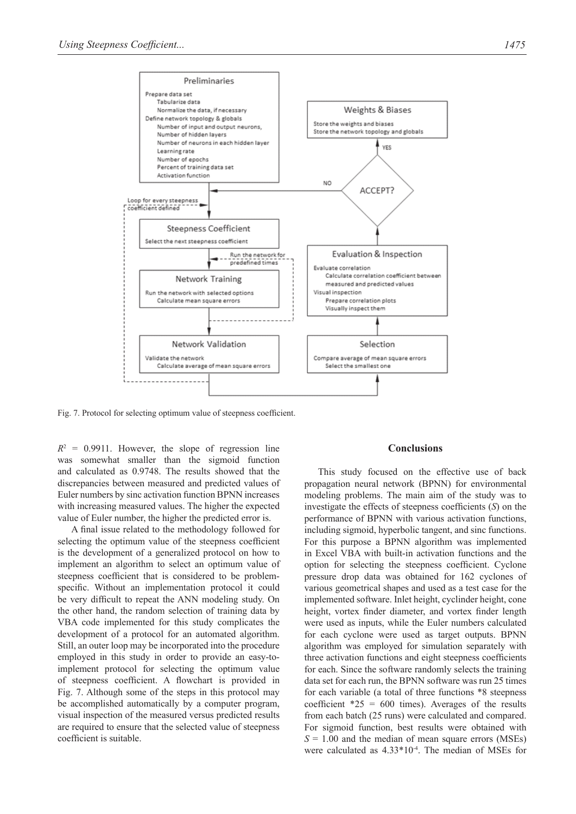

Fig. 7. Protocol for selecting optimum value of steepness coefficient.

 $R^2 = 0.9911$ . However, the slope of regression line was somewhat smaller than the sigmoid function and calculated as 0.9748. The results showed that the discrepancies between measured and predicted values of Euler numbers by sinc activation function BPNN increases with increasing measured values. The higher the expected value of Euler number, the higher the predicted error is.

A final issue related to the methodology followed for selecting the optimum value of the steepness coefficient is the development of a generalized protocol on how to implement an algorithm to select an optimum value of steepness coefficient that is considered to be problemspecific. Without an implementation protocol it could be very difficult to repeat the ANN modeling study. On the other hand, the random selection of training data by VBA code implemented for this study complicates the development of a protocol for an automated algorithm. Still, an outer loop may be incorporated into the procedure employed in this study in order to provide an easy-toimplement protocol for selecting the optimum value of steepness coefficient. A flowchart is provided in Fig. 7. Although some of the steps in this protocol may be accomplished automatically by a computer program, visual inspection of the measured versus predicted results are required to ensure that the selected value of steepness coefficient is suitable.

#### **Conclusions**

This study focused on the effective use of back propagation neural network (BPNN) for environmental modeling problems. The main aim of the study was to investigate the effects of steepness coefficients (*S*) on the performance of BPNN with various activation functions, including sigmoid, hyperbolic tangent, and sinc functions. For this purpose a BPNN algorithm was implemented in Excel VBA with built-in activation functions and the option for selecting the steepness coefficient. Cyclone pressure drop data was obtained for 162 cyclones of various geometrical shapes and used as a test case for the implemented software. Inlet height, cyclinder height, cone height, vortex finder diameter, and vortex finder length were used as inputs, while the Euler numbers calculated for each cyclone were used as target outputs. BPNN algorithm was employed for simulation separately with three activation functions and eight steepness coefficients for each. Since the software randomly selects the training data set for each run, the BPNN software was run 25 times for each variable (a total of three functions \*8 steepness coefficient  $*25 = 600$  times). Averages of the results from each batch (25 runs) were calculated and compared. For sigmoid function, best results were obtained with  $S = 1.00$  and the median of mean square errors (MSEs) were calculated as 4.33\*10-4. The median of MSEs for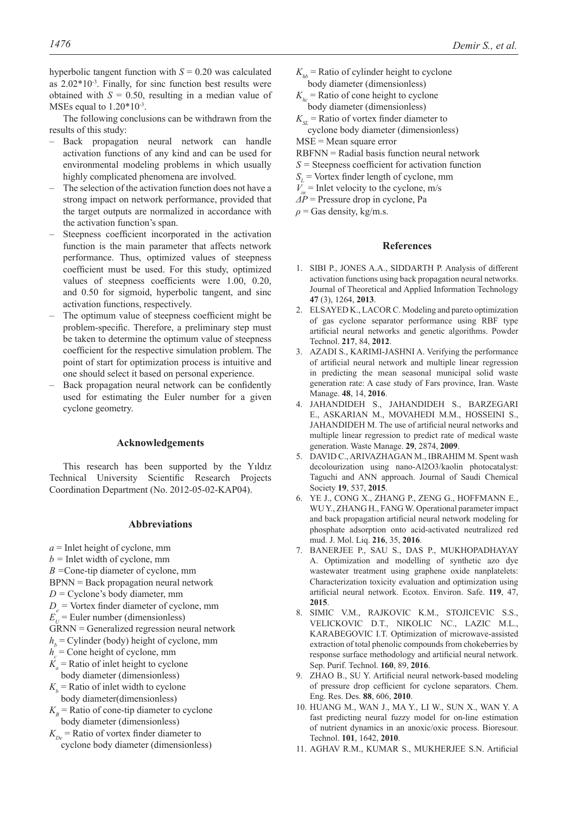hyperbolic tangent function with  $S = 0.20$  was calculated as  $2.02*10<sup>-3</sup>$ . Finally, for sinc function best results were obtained with  $S = 0.50$ , resulting in a median value of MSEs equal to  $1.20*10^{-3}$ .

The following conclusions can be withdrawn from the results of this study:

- Back propagation neural network can handle activation functions of any kind and can be used for environmental modeling problems in which usually highly complicated phenomena are involved.
- The selection of the activation function does not have a strong impact on network performance, provided that the target outputs are normalized in accordance with the activation function's span.
- Steepness coefficient incorporated in the activation function is the main parameter that affects network performance. Thus, optimized values of steepness coefficient must be used. For this study, optimized values of steepness coefficients were 1.00, 0.20, and 0.50 for sigmoid, hyperbolic tangent, and sinc activation functions, respectively.
- The optimum value of steepness coefficient might be problem-specific. Therefore, a preliminary step must be taken to determine the optimum value of steepness coefficient for the respective simulation problem. The point of start for optimization process is intuitive and one should select it based on personal experience.
- Back propagation neural network can be confidently used for estimating the Euler number for a given cyclone geometry.

#### **Acknowledgements**

This research has been supported by the Yıldız Technical University Scientific Research Projects Coordination Department (No. 2012-05-02-KAP04).

#### **Abbreviations**

- *a* = Inlet height of cyclone, mm
- *b =* Inlet width of cyclone, mm
- *B =*Cone-tip diameter of cyclone, mm

BPNN = Back propagation neural network

- *D =* Cyclone's body diameter, mm
- $D_e$  = Vortex finder diameter of cyclone, mm
- $E_{U}^{e}$  = Euler number (dimensionless)
- GRNN = Generalized regression neural network
- $h_b$  = Cylinder (body) height of cyclone, mm
- $h_c$  = Cone height of cyclone, mm
- $K_a$  = Ratio of inlet height to cyclone body diameter (dimensionless)
- $K_b$  = Ratio of inlet width to cyclone body diameter(dimensionless)
- $K_B$  = Ratio of cone-tip diameter to cyclone body diameter (dimensionless)
- $K_{De}$  = Ratio of vortex finder diameter to cyclone body diameter (dimensionless)
- $K_{th}$  = Ratio of cylinder height to cyclone body diameter (dimensionless)
- $K_{bc}$  = Ratio of cone height to cyclone body diameter (dimensionless)
- $K_{\rm SI}$  = Ratio of vortex finder diameter to cyclone body diameter (dimensionless)
- MSE = Mean square error
- RBFNN = Radial basis function neural network
- *S =* Steepness coefficient for activation function
- $S_L$  = Vortex finder length of cyclone, mm
- $V_{in}$  = Inlet velocity to the cyclone, m/s
- *ΔP* = Pressure drop in cyclone, Pa
- $\rho$  = Gas density, kg/m.s.

#### **References**

- 1. SIBI P., JONES A.A., SIDDARTH P. Analysis of different activation functions using back propagation neural networks. Journal of Theoretical and Applied Information Technology **47** (3), 1264, **2013**.
- 2. ELSAYED K., LACOR C. Modeling and pareto optimization of gas cyclone separator performance using RBF type artificial neural networks and genetic algorithms. Powder Technol. **217**, 84, **2012**.
- 3. Azadi S., Karimi-Jashni A. Verifying the performance of artificial neural network and multiple linear regression in predicting the mean seasonal municipal solid waste generation rate: A case study of Fars province, Iran. Waste Manage. **48**, 14, **2016**.
- 4. Jahandideh S., Jahandideh S., Barzegari E., Askarian M., Movahedi M.M., Hosseini S., JAHANDIDEH M. The use of artificial neural networks and multiple linear regression to predict rate of medical waste generation. Waste Manage. **29**, 2874, **2009**.
- 5. DAVID C., ARIVAZHAGAN M., IBRAHIM M. Spent wash decolourization using nano-Al2O3/kaolin photocatalyst: Taguchi and ANN approach. Journal of Saudi Chemical Society **19**, 537, **2015**.
- 6. Ye J., Cong X., Zhang P., Zeng G., Hoffmann E., WU Y., ZHANG H., FANG W. Operational parameter impact and back propagation artificial neural network modeling for phosphate adsorption onto acid-activated neutralized red mud. J. Mol. Liq. **216**, 35, **2016**.
- 7. Banerjee P., Sau S., Das P., Mukhopadhayay A. Optimization and modelling of synthetic azo dye wastewater treatment using graphene oxide nanplatelets: Characterization toxicity evaluation and optimization using artificial neural network. Ecotox. Environ. Safe. **119**, 47, **2015**.
- 8. Simic V.M., Rajkovic K.M., Stojicevic S.S., Velickovic D.T., Nikolic NC., Lazic M.L., KARABEGOVIC I.T. Optimization of microwave-assisted extraction of total phenolic compounds from chokeberries by response surface methodology and artificial neural network. Sep. Purif. Technol. **160**, 89, **2016**.
- 9. Zhao B., Su Y. Artificial neural network-based modeling of pressure drop cefficient for cyclone separators. Chem. Eng. Res. Des. **88**, 606, **2010**.
- 10. Huang M., Wan J., Ma Y., Li W., Sun X., Wan Y. A fast predicting neural fuzzy model for on-line estimation of nutrient dynamics in an anoxic/oxic process. Bioresour. Technol. **101**, 1642, **2010**.
- 11. AGHAV R.M., KUMAR S., MUKHERJEE S.N. Artificial